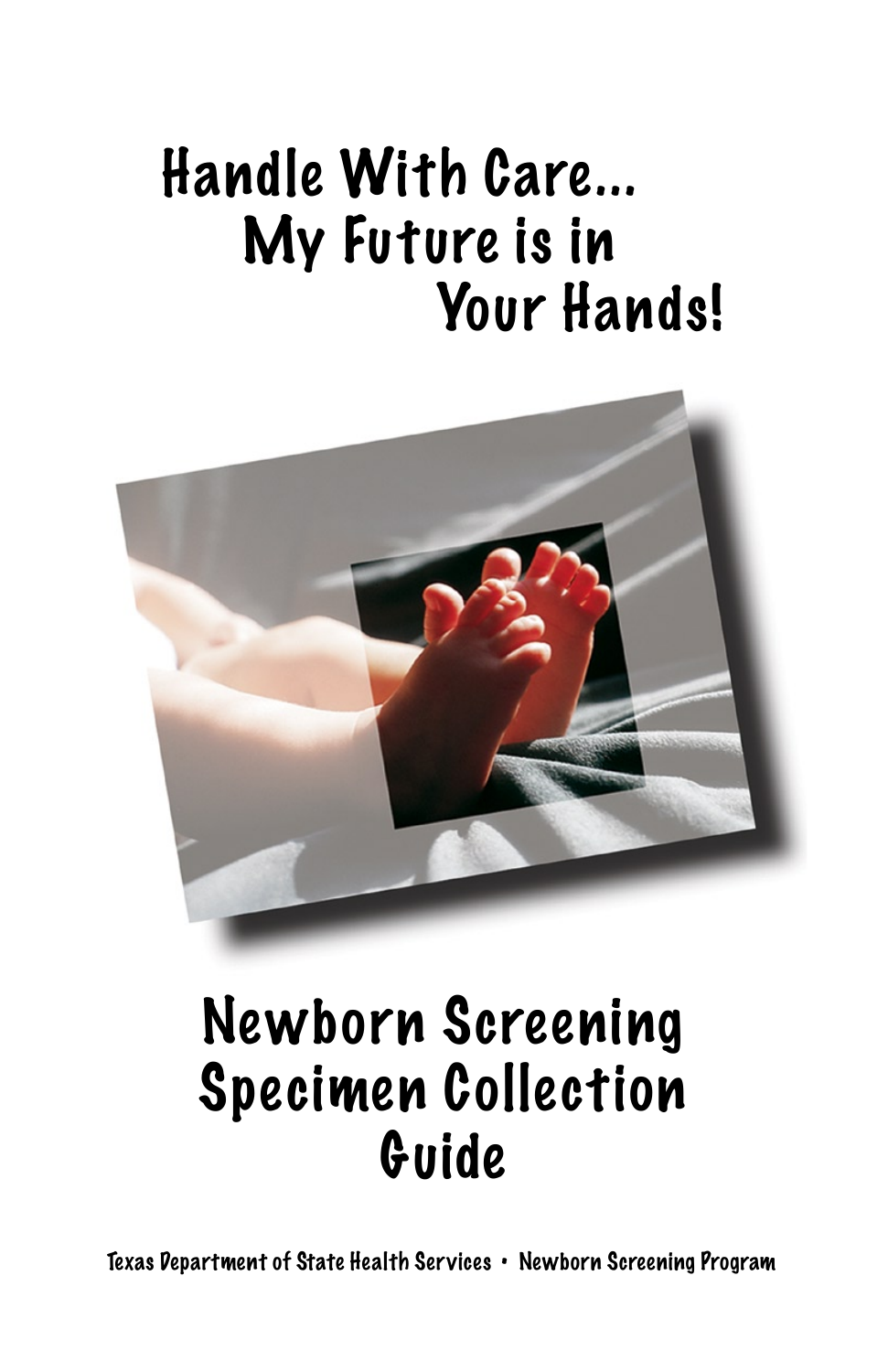# Handle With Care... My Future is in Your Hands!



## Newborn Screening Specimen Collection Guide

Texas Department of State Health Services • Newborn Screening Program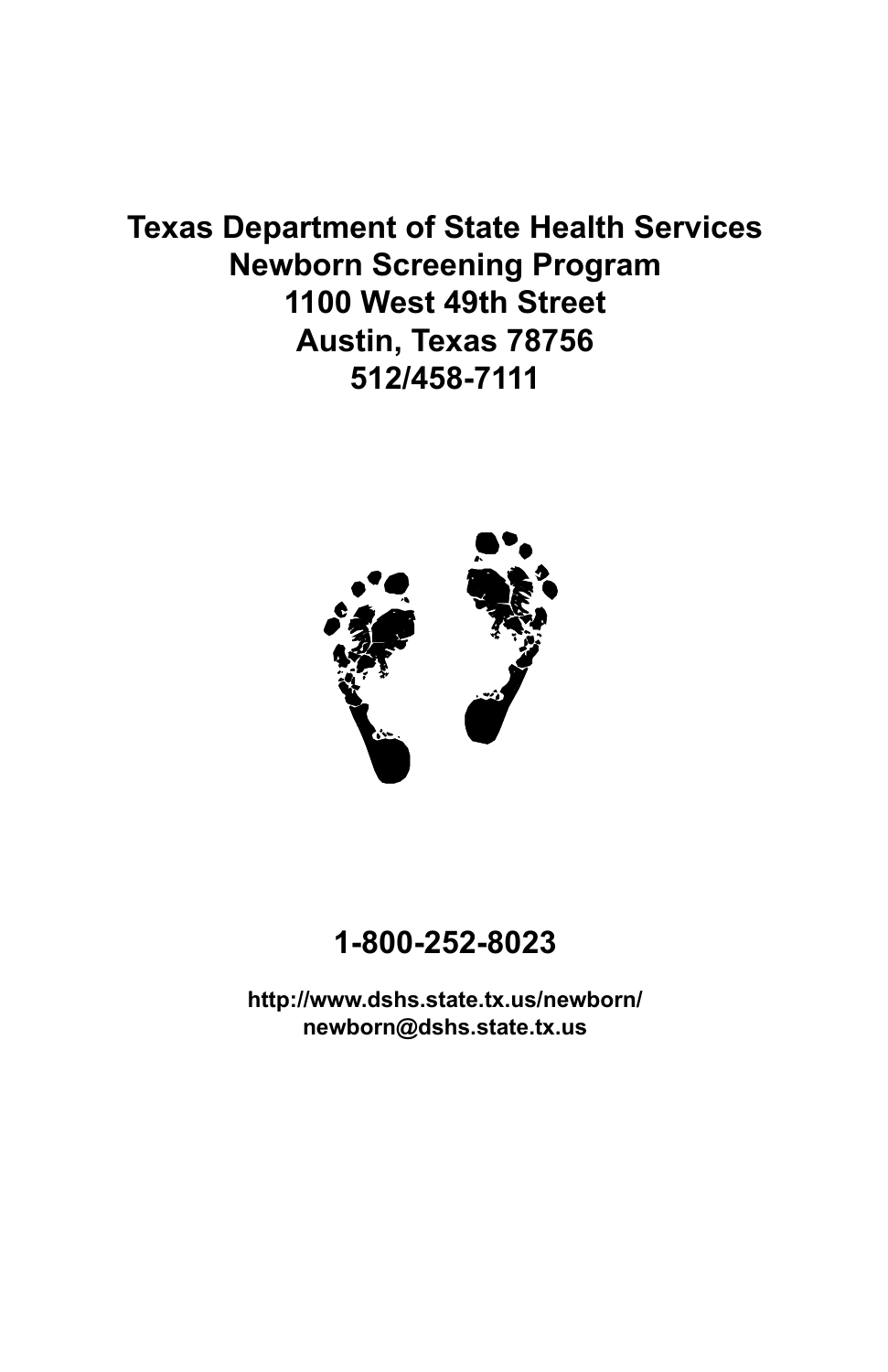### **Texas Department of State Health Services Newborn Screening Program 1100 West 49th Street Austin, Texas 78756 512/458-7111**



#### **1-800-252-8023**

**http://www.dshs.state.tx.us/newborn/ newborn@dshs.state.tx.us**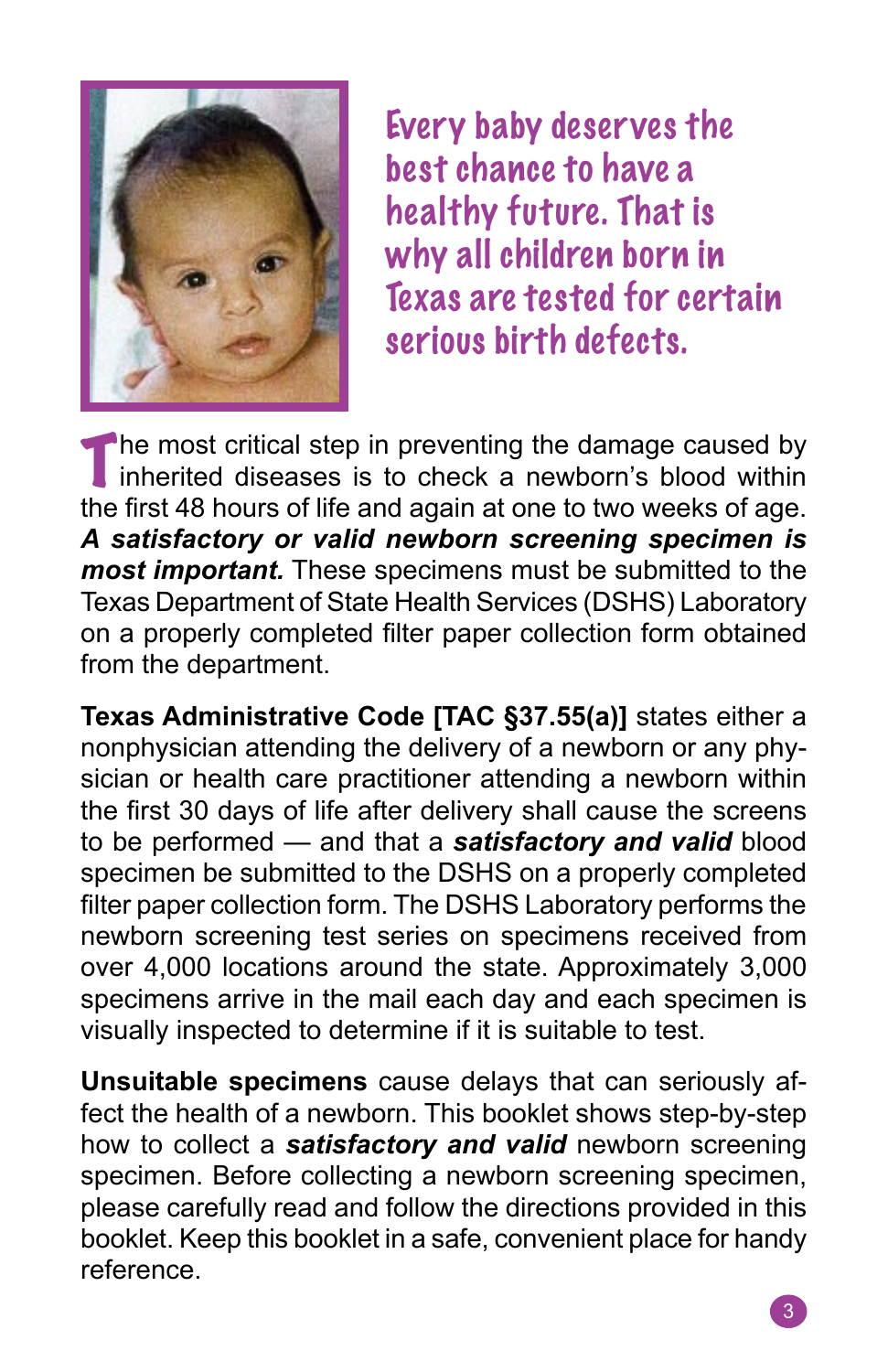

Every baby deserves the best chance to have a healthy future. That is why all children born in Texas are tested for certain serious birth defects.

The most critical step in preventing the damage caused by inherited diseases is to check a newborn's blood within the first 48 hours of life and again at one to two weeks of age. *A satisfactory or valid newborn screening specimen is most important.* These specimens must be submitted to the Texas Department of State Health Services (DSHS) Laboratory on a properly completed filter paper collection form obtained from the department.

**Texas Administrative Code [TAC §37.55(a)]** states either a nonphysician attending the delivery of a newborn or any physician or health care practitioner attending a newborn within the first 30 days of life after delivery shall cause the screens to be performed — and that a *satisfactory and valid* blood specimen be submitted to the DSHS on a properly completed filter paper collection form. The DSHS Laboratory performs the newborn screening test series on specimens received from over 4,000 locations around the state. Approximately 3,000 specimens arrive in the mail each day and each specimen is visually inspected to determine if it is suitable to test.

**Unsuitable specimens** cause delays that can seriously affect the health of a newborn. This booklet shows step-by-step how to collect a *satisfactory and valid* newborn screening specimen. Before collecting a newborn screening specimen, please carefully read and follow the directions provided in this booklet. Keep this booklet in a safe, convenient place for handy reference.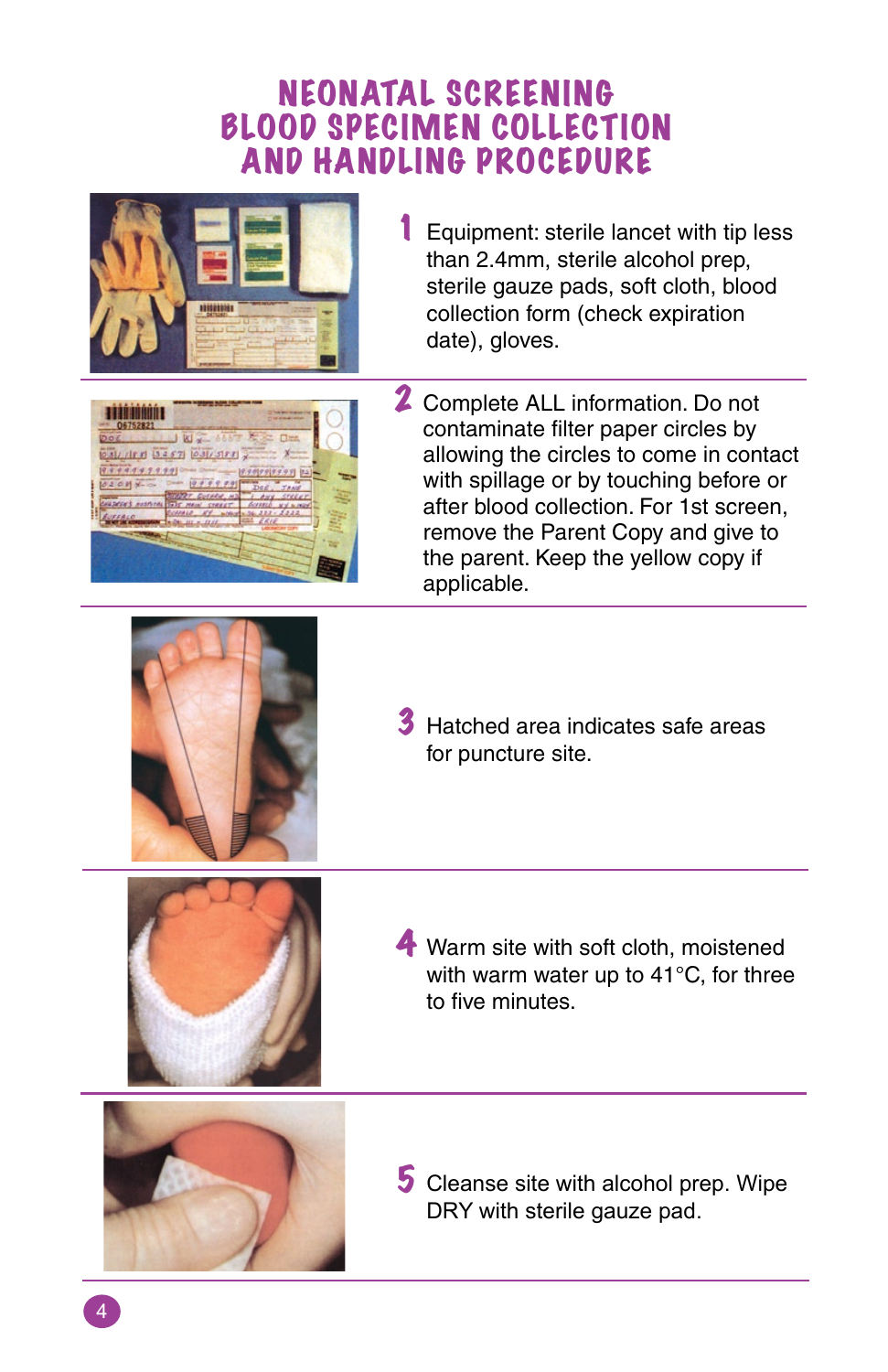### NEONATAL SCREENING BLOOD SPECIMEN COLLECTION AND HANDLING PROCEDURE



**1** Equipment: sterile lancet with tip less than 2.4mm, sterile alcohol prep, sterile gauze pads, soft cloth, blood collection form (check expiration date), gloves.



2 Complete ALL information. Do not contaminate filter paper circles by allowing the circles to come in contact with spillage or by touching before or after blood collection. For 1st screen, remove the Parent Copy and give to the parent. Keep the yellow copy if applicable.



**3** Hatched area indicates safe areas for puncture site.



**4** Warm site with soft cloth, moistened with warm water up to 41°C, for three to five minutes.



5 Cleanse site with alcohol prep. Wipe DRY with sterile gauze pad.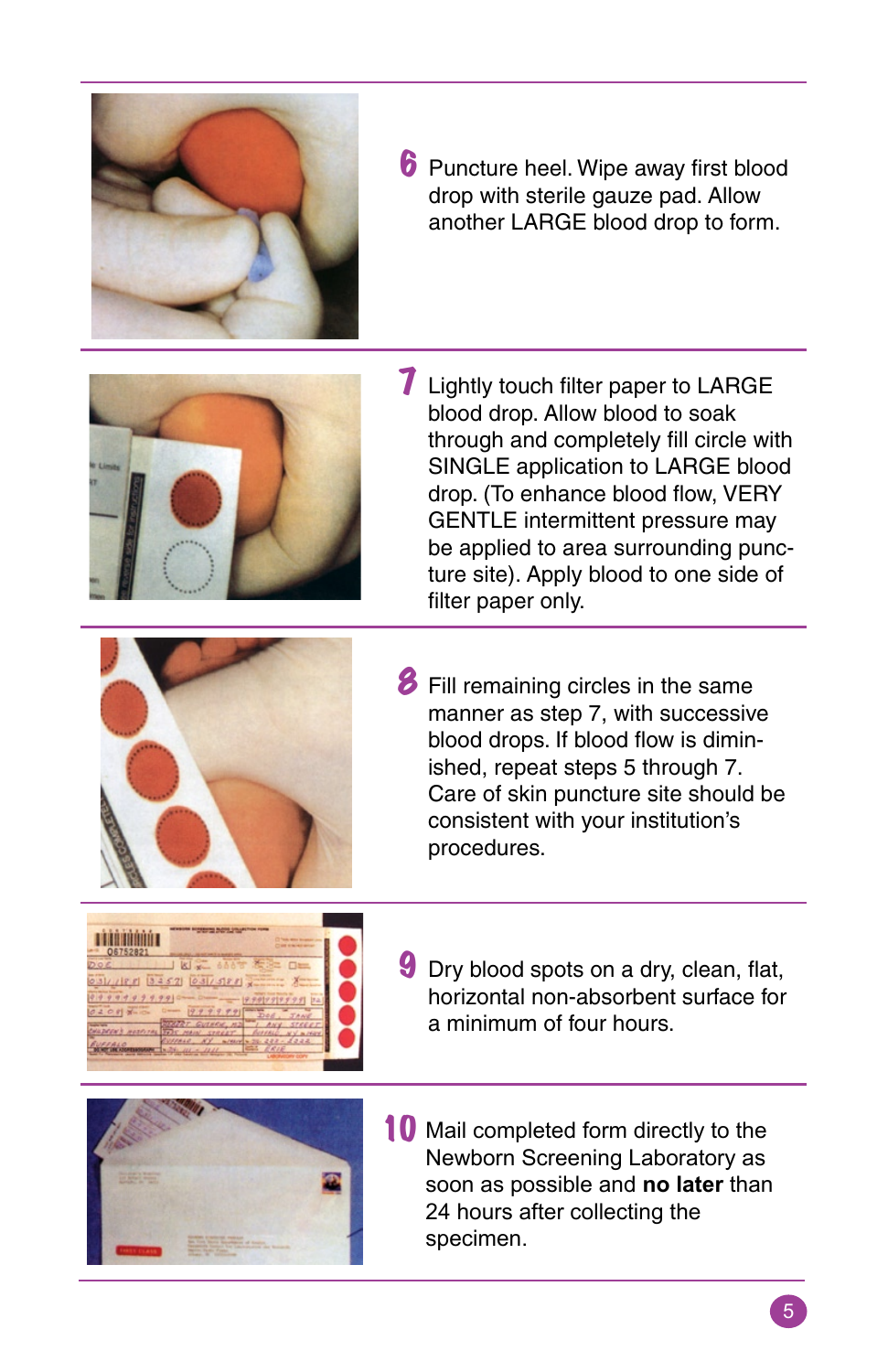

**6** Puncture heel. Wipe away first blood drop with sterile gauze pad. Allow another LARGE blood drop to form.



**7** Lightly touch filter paper to LARGE blood drop. Allow blood to soak through and completely fill circle with SINGLE application to LARGE blood drop. (To enhance blood flow, VERY GENTLE intermittent pressure may be applied to area surrounding puncture site). Apply blood to one side of filter paper only.



**8** Fill remaining circles in the same manner as step 7, with successive blood drops. If blood flow is diminished, repeat steps 5 through 7. Care of skin puncture site should be consistent with your institution's procedures.



**9** Dry blood spots on a dry, clean, flat, horizontal non-absorbent surface for a minimum of four hours.



10 Mail completed form directly to the Newborn Screening Laboratory as soon as possible and **no later** than 24 hours after collecting the specimen.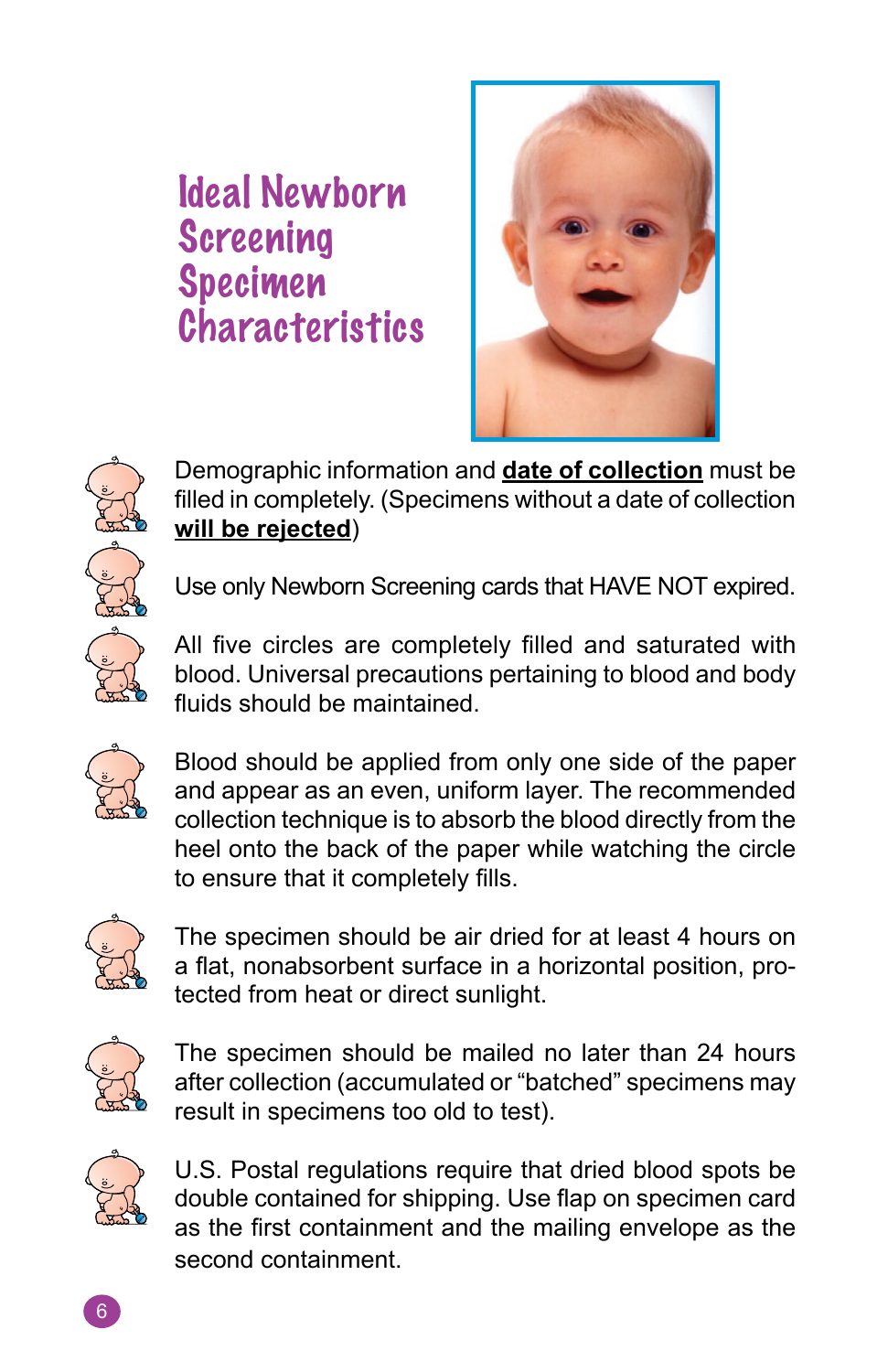### Ideal Newborn Screening Specimen **Characteristics**





Demographic information and **date of collection** must be filled in completely. (Specimens without a date of collection **will be rejected**)

Use only Newborn Screening cards that HAVE NOT expired.



All five circles are completely filled and saturated with blood. Universal precautions pertaining to blood and body fluids should be maintained.



Blood should be applied from only one side of the paper and appear as an even, uniform layer. The recommended collection technique is to absorb the blood directly from the heel onto the back of the paper while watching the circle to ensure that it completely fills.



The specimen should be air dried for at least 4 hours on a flat, nonabsorbent surface in a horizontal position, protected from heat or direct sunlight.



The specimen should be mailed no later than 24 hours after collection (accumulated or "batched" specimens may result in specimens too old to test).



U.S. Postal regulations require that dried blood spots be double contained for shipping. Use flap on specimen card as the first containment and the mailing envelope as the second containment.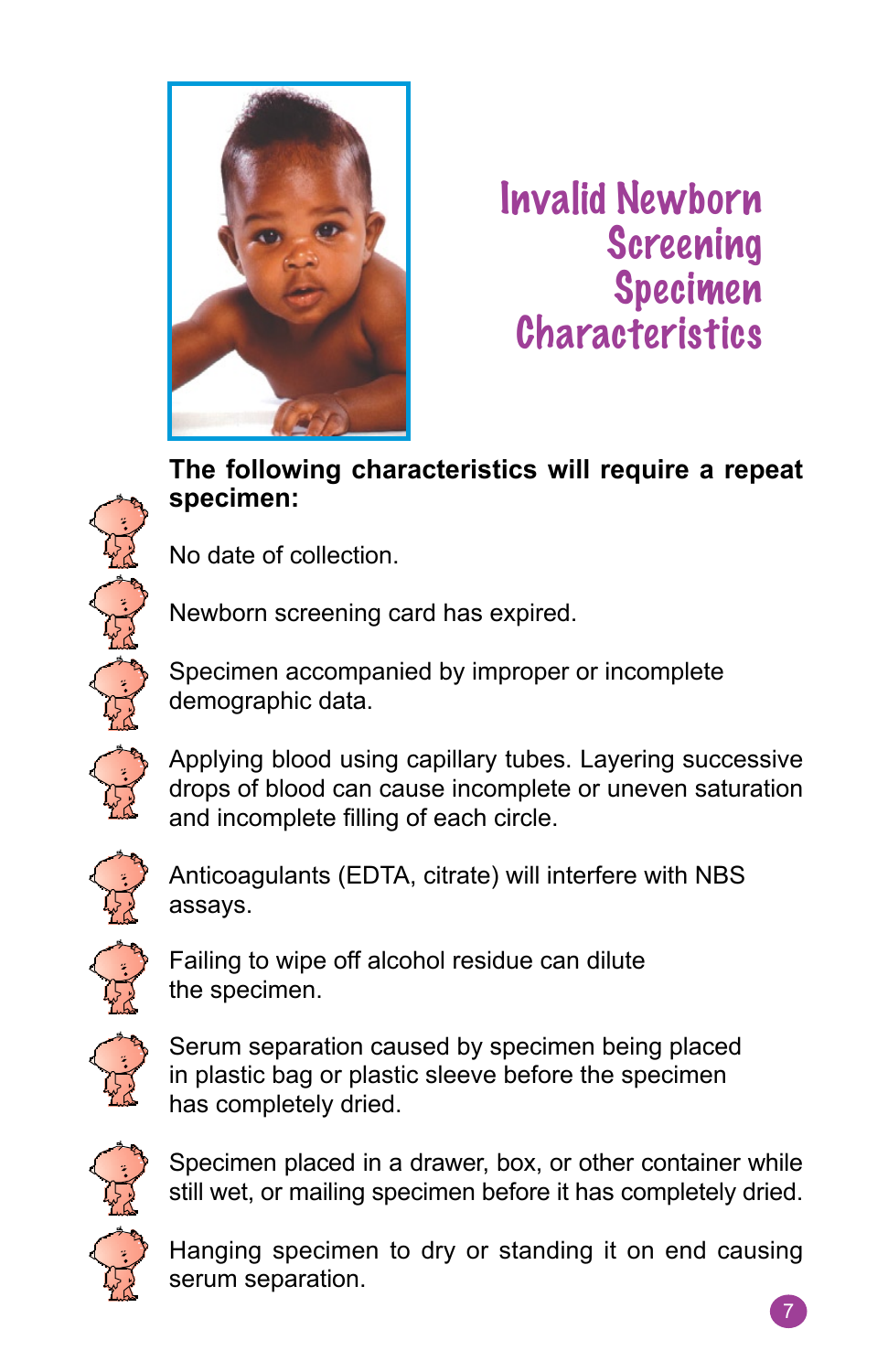

Invalid Newborn Screening Specimen **Characteristics** 

#### **The following characteristics will require a repeat specimen:**

No date of collection.

serum separation.

Newborn screening card has expired.

Specimen accompanied by improper or incomplete demographic data.



Applying blood using capillary tubes. Layering successive drops of blood can cause incomplete or uneven saturation and incomplete filling of each circle.



Anticoagulants (EDTA, citrate) will interfere with NBS assays.



Failing to wipe off alcohol residue can dilute the specimen.



Serum separation caused by specimen being placed in plastic bag or plastic sleeve before the specimen has completely dried.



Specimen placed in a drawer, box, or other container while still wet, or mailing specimen before it has completely dried.

Hanging specimen to dry or standing it on end causing

7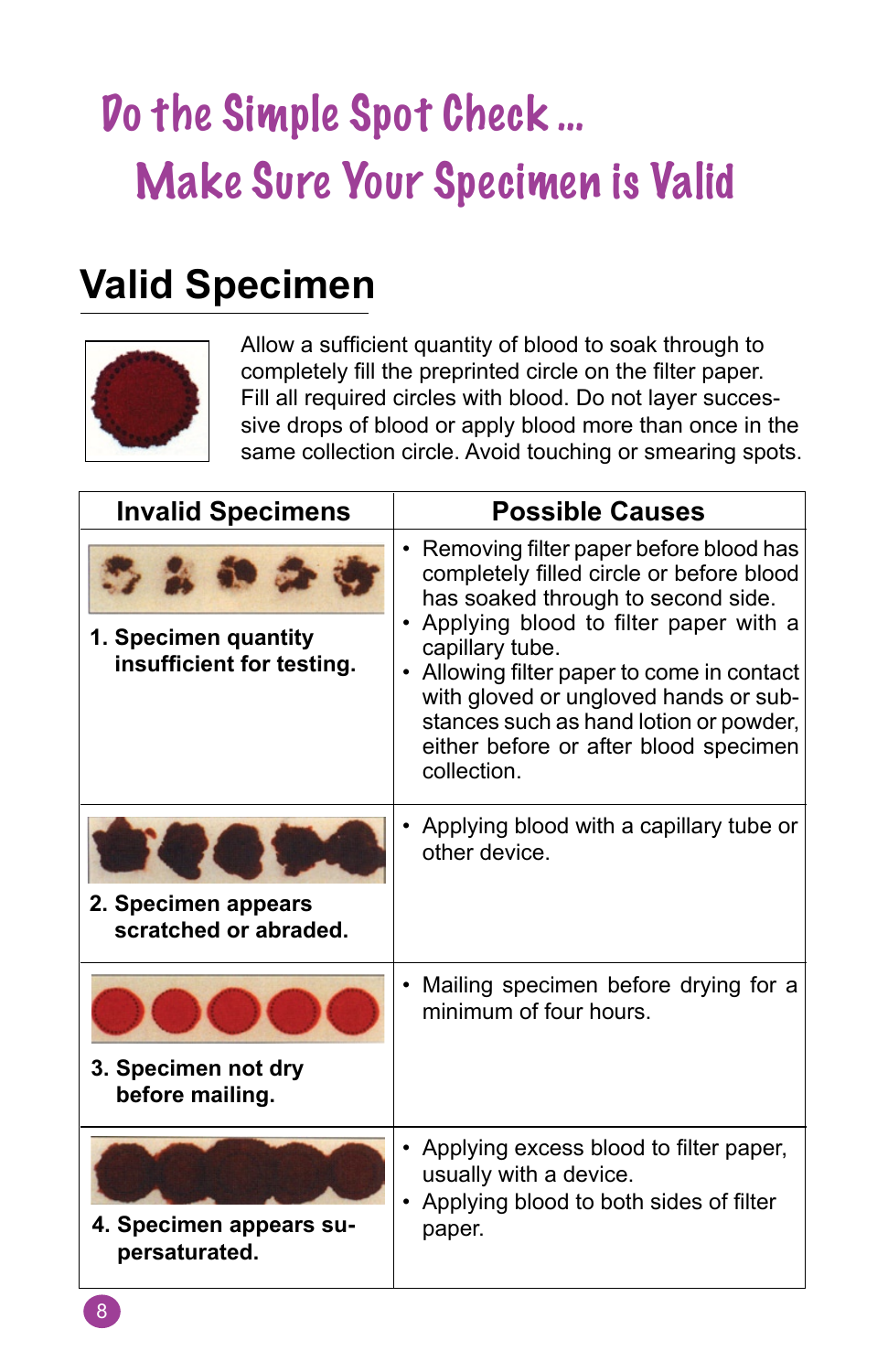### Do the Simple Spot Check … Make Sure Your Specimen is Valid

### **Valid Specimen**



Allow a sufficient quantity of blood to soak through to completely fill the preprinted circle on the filter paper. Fill all required circles with blood. Do not layer successive drops of blood or apply blood more than once in the same collection circle. Avoid touching or smearing spots.

| <b>Invalid Specimens</b>                                                  | <b>Possible Causes</b>                                                                                                                                                                                                                                                                                                                                                            |
|---------------------------------------------------------------------------|-----------------------------------------------------------------------------------------------------------------------------------------------------------------------------------------------------------------------------------------------------------------------------------------------------------------------------------------------------------------------------------|
| $\sim$ $\sim$ $\sim$<br>1. Specimen quantity<br>insufficient for testing. | • Removing filter paper before blood has<br>completely filled circle or before blood<br>has soaked through to second side.<br>• Applying blood to filter paper with a<br>capillary tube.<br>• Allowing filter paper to come in contact<br>with gloved or ungloved hands or sub-<br>stances such as hand lotion or powder,<br>either before or after blood specimen<br>collection. |
| 2. Specimen appears<br>scratched or abraded.                              | • Applying blood with a capillary tube or<br>other device.                                                                                                                                                                                                                                                                                                                        |
| 3. Specimen not dry<br>before mailing.                                    | • Mailing specimen before drying for a<br>minimum of four hours.                                                                                                                                                                                                                                                                                                                  |
| 4. Specimen appears su-<br>persaturated.                                  | • Applying excess blood to filter paper,<br>usually with a device.<br>Applying blood to both sides of filter<br>paper.                                                                                                                                                                                                                                                            |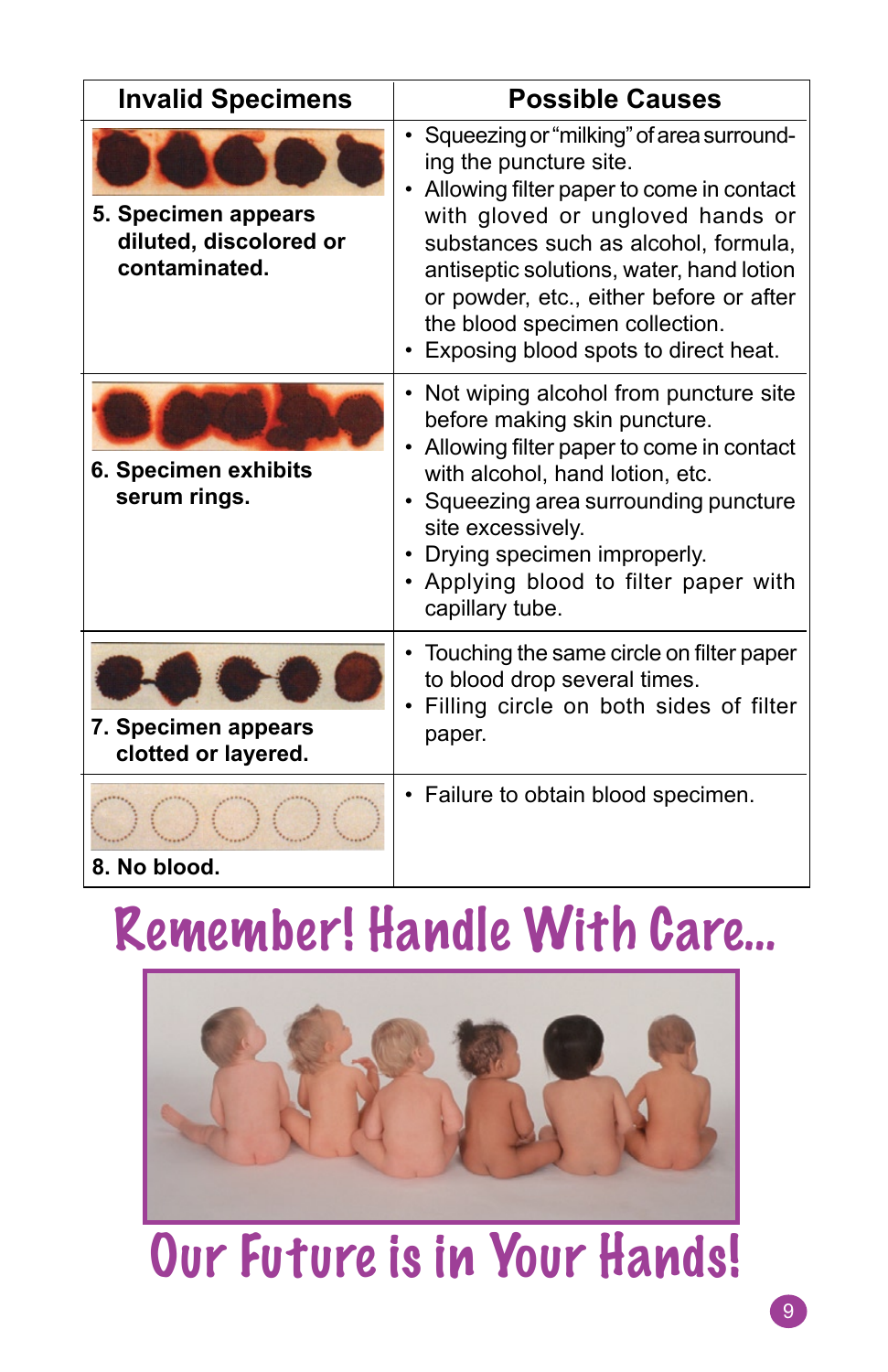| <b>Invalid Specimens</b>                                       | <b>Possible Causes</b>                                                                                                                                                                                                                                                                                                                                        |
|----------------------------------------------------------------|---------------------------------------------------------------------------------------------------------------------------------------------------------------------------------------------------------------------------------------------------------------------------------------------------------------------------------------------------------------|
| 5. Specimen appears<br>diluted, discolored or<br>contaminated. | • Squeezing or "milking" of area surround-<br>ing the puncture site.<br>Allowing filter paper to come in contact<br>with gloved or ungloved hands or<br>substances such as alcohol, formula,<br>antiseptic solutions, water, hand lotion<br>or powder, etc., either before or after<br>the blood specimen collection.<br>Exposing blood spots to direct heat. |
| 6. Specimen exhibits<br>serum rings.                           | Not wiping alcohol from puncture site<br>before making skin puncture.<br>Allowing filter paper to come in contact<br>with alcohol, hand lotion, etc.<br>Squeezing area surrounding puncture<br>site excessively.<br>Drying specimen improperly.<br>• Applying blood to filter paper with<br>capillary tube.                                                   |
| 7. Specimen appears<br>clotted or layered.                     | Touching the same circle on filter paper<br>to blood drop several times.<br>Filling circle on both sides of filter<br>paper.                                                                                                                                                                                                                                  |
| 8. No blood.                                                   | Failure to obtain blood specimen.                                                                                                                                                                                                                                                                                                                             |

### Remember! Handle With Care…



## Our Future is in Your Hands!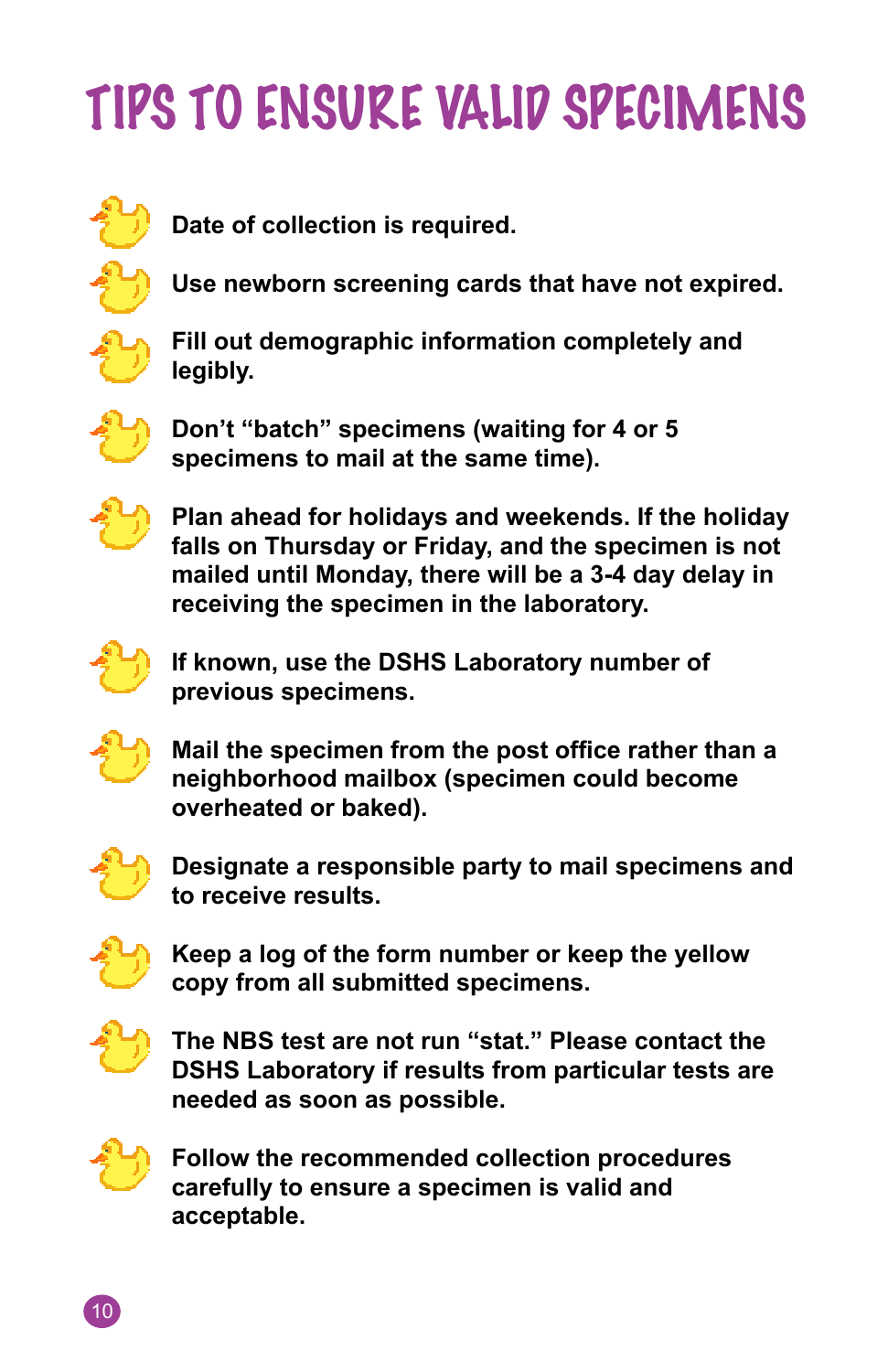# TIPS TO ENSURE VALID SPECIMENS



**Date of collection is required.**



**Use newborn screening cards that have not expired.**



**Fill out demographic information completely and legibly.**



**Don't "batch" specimens (waiting for 4 or 5 specimens to mail at the same time).**



**Plan ahead for holidays and weekends. If the holiday falls on Thursday or Friday, and the specimen is not mailed until Monday, there will be a 3-4 day delay in receiving the specimen in the laboratory.**



**If known, use the DSHS Laboratory number of previous specimens.**



**Mail the specimen from the post office rather than a neighborhood mailbox (specimen could become overheated or baked).**



**Designate a responsible party to mail specimens and to receive results.**



**Keep a log of the form number or keep the yellow copy from all submitted specimens.** 



**The NBS test are not run "stat." Please contact the DSHS Laboratory if results from particular tests are needed as soon as possible.**



**Follow the recommended collection procedures carefully to ensure a specimen is valid and acceptable.**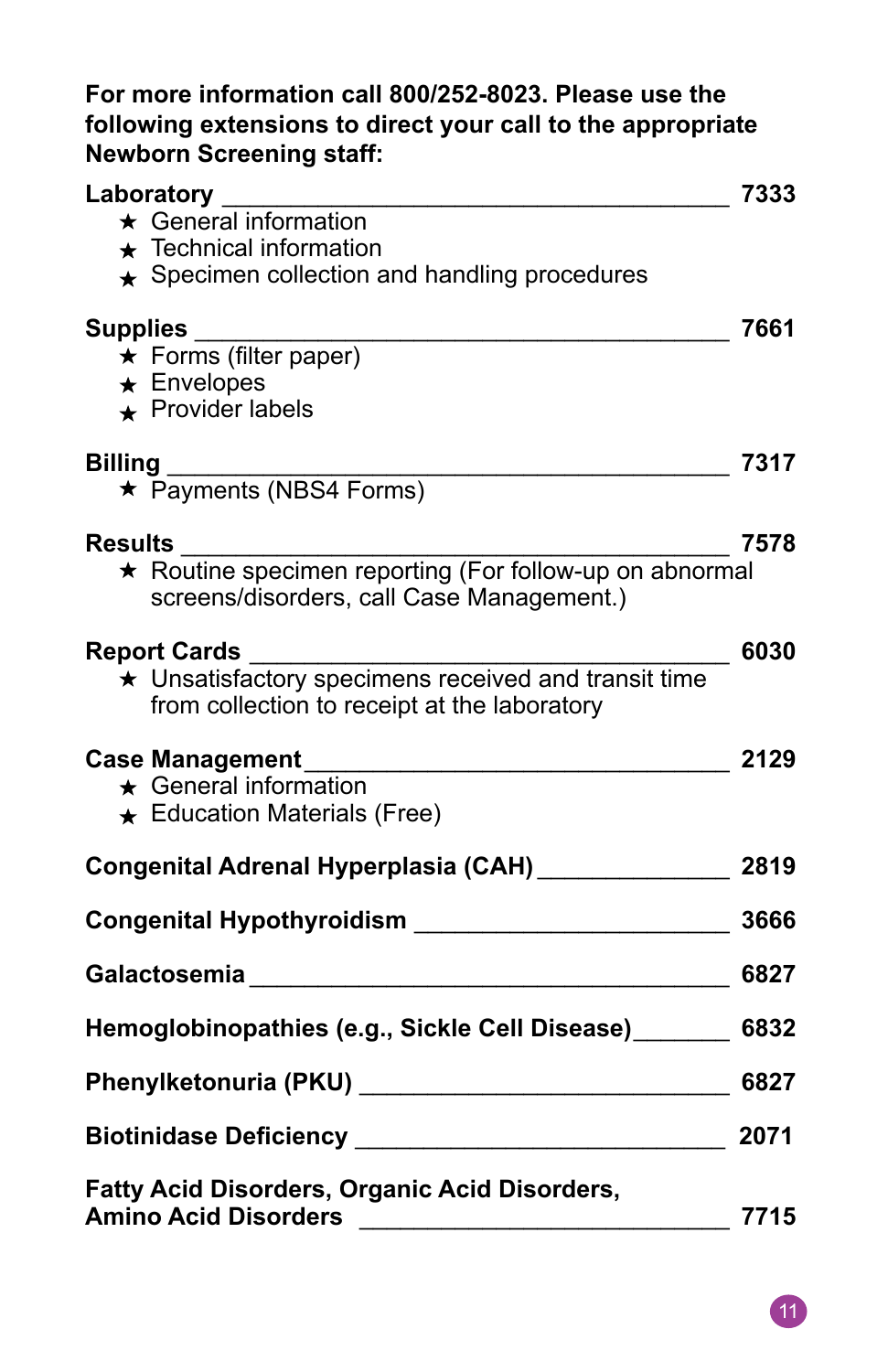#### **For more information call 800/252-8023. Please use the following extensions to direct your call to the appropriate Newborn Screening staff:**

| Laboratory                                                                                                                                                                                                                       | 7333 |
|----------------------------------------------------------------------------------------------------------------------------------------------------------------------------------------------------------------------------------|------|
| $\star$ General information                                                                                                                                                                                                      |      |
| $\star$ Technical information                                                                                                                                                                                                    |      |
| $\star$ Specimen collection and handling procedures                                                                                                                                                                              |      |
| Supplies                                                                                                                                                                                                                         | 7661 |
| ★ Forms (filter paper)                                                                                                                                                                                                           |      |
| $\star$ Envelopes                                                                                                                                                                                                                |      |
| $\star$ Provider labels                                                                                                                                                                                                          |      |
|                                                                                                                                                                                                                                  | 7317 |
| Billing<br>★ Payments (NBS4 Forms)                                                                                                                                                                                               |      |
| <b>Results</b>                                                                                                                                                                                                                   | 7578 |
| screens/disorders, call Case Management.)                                                                                                                                                                                        |      |
| <b>Report Cards</b>                                                                                                                                                                                                              | 6030 |
| port Garus<br>★ Unsatisfactory specimens received and transit time<br>from collection to receipt at the laboratory                                                                                                               |      |
| <b>Case Management</b>                                                                                                                                                                                                           | 2129 |
| $\star$ General information                                                                                                                                                                                                      |      |
| $\star$ Education Materials (Free)                                                                                                                                                                                               |      |
| Congenital Adrenal Hyperplasia (CAH)                                                                                                                                                                                             | 2819 |
| Congenital Hypothyroidism ________________________                                                                                                                                                                               | 3666 |
|                                                                                                                                                                                                                                  | 6827 |
| Hemoglobinopathies (e.g., Sickle Cell Disease)                                                                                                                                                                                   | 6832 |
| Phenylketonuria (PKU)<br>and the contract of the contract of the contract of the contract of the contract of the contract of the contract of the contract of the contract of the contract of the contract of the contract of the | 6827 |
|                                                                                                                                                                                                                                  | 2071 |
| <b>Fatty Acid Disorders, Organic Acid Disorders,</b><br><b>Amino Acid Disorders</b>                                                                                                                                              | 7715 |